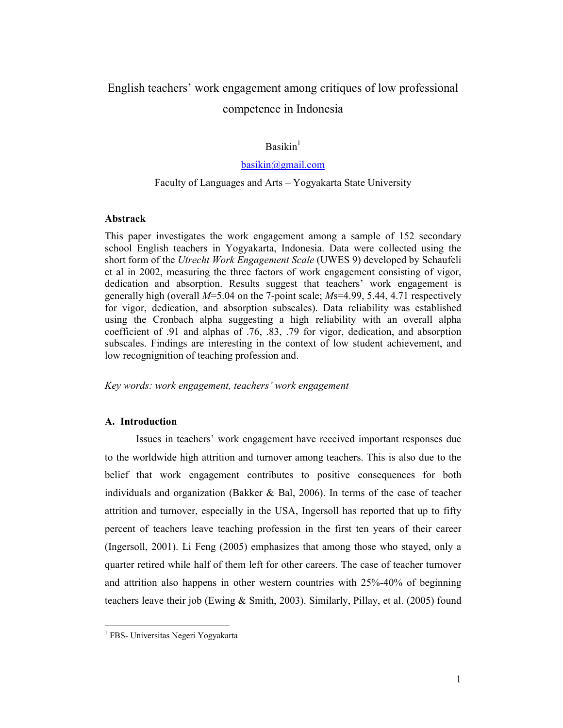# English teachers' work engagement among critiques of low professional competence in Indonesia

# $Basikin<sup>1</sup>$

# basikin@gmail.com

# Faculty of Languages and Arts – Yogyakarta State University

#### Abstrack

This paper investigates the work engagement among a sample of 152 secondary school English teachers in Yogyakarta, Indonesia. Data were collected using the short form of the Utrecht Work Engagement Scale (UWES 9) developed by Schaufeli et al in 2002, measuring the three factors of work engagement consisting of vigor, dedication and absorption. Results suggest that teachers' work engagement is generally high (overall  $M=5.04$  on the 7-point scale;  $Ms=4.99$ , 5.44, 4.71 respectively for vigor, dedication, and absorption subscales). Data reliability was established using the Cronbach alpha suggesting a high reliability with an overall alpha coefficient of .91 and alphas of .76, .83, .79 for vigor, dedication, and absorption subscales. Findings are interesting in the context of low student achievement, and low recognignition of teaching profession and.

Key words: work engagement, teachers' work engagement

#### A. Introduction

Issues in teachers' work engagement have received important responses due to the worldwide high attrition and turnover among teachers. This is also due to the belief that work engagement contributes to positive consequences for both individuals and organization (Bakker & Bal, 2006). In terms of the case of teacher attrition and turnover, especially in the USA, Ingersoll has reported that up to fifty percent of teachers leave teaching profession in the first ten years of their career (Ingersoll, 2001). Li Feng (2005) emphasizes that among those who stayed, only a quarter retired while half of them left for other careers. The case of teacher turnover and attrition also happens in other western countries with 25%-40% of beginning teachers leave their job (Ewing & Smith, 2003). Similarly, Pillay, et al. (2005) found

 1 FBS- Universitas Negeri Yogyakarta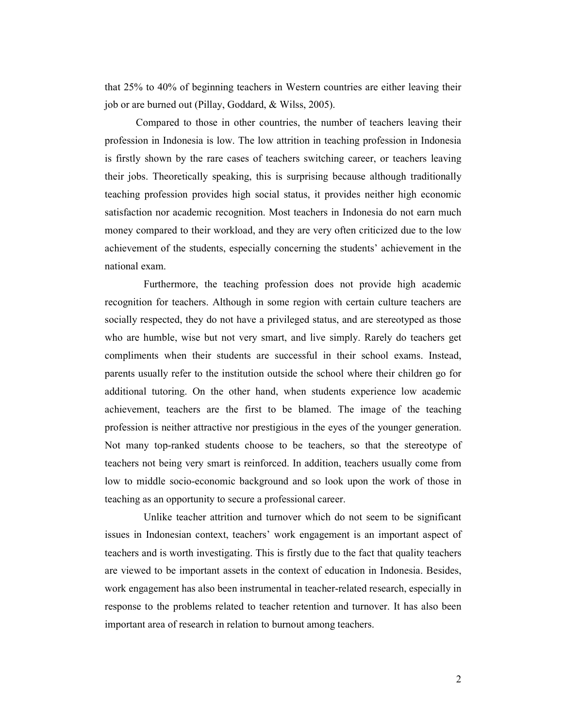that 25% to 40% of beginning teachers in Western countries are either leaving their job or are burned out (Pillay, Goddard, & Wilss, 2005).

Compared to those in other countries, the number of teachers leaving their profession in Indonesia is low. The low attrition in teaching profession in Indonesia is firstly shown by the rare cases of teachers switching career, or teachers leaving their jobs. Theoretically speaking, this is surprising because although traditionally teaching profession provides high social status, it provides neither high economic satisfaction nor academic recognition. Most teachers in Indonesia do not earn much money compared to their workload, and they are very often criticized due to the low achievement of the students, especially concerning the students' achievement in the national exam.

Furthermore, the teaching profession does not provide high academic recognition for teachers. Although in some region with certain culture teachers are socially respected, they do not have a privileged status, and are stereotyped as those who are humble, wise but not very smart, and live simply. Rarely do teachers get compliments when their students are successful in their school exams. Instead, parents usually refer to the institution outside the school where their children go for additional tutoring. On the other hand, when students experience low academic achievement, teachers are the first to be blamed. The image of the teaching profession is neither attractive nor prestigious in the eyes of the younger generation. Not many top-ranked students choose to be teachers, so that the stereotype of teachers not being very smart is reinforced. In addition, teachers usually come from low to middle socio-economic background and so look upon the work of those in teaching as an opportunity to secure a professional career.

Unlike teacher attrition and turnover which do not seem to be significant issues in Indonesian context, teachers' work engagement is an important aspect of teachers and is worth investigating. This is firstly due to the fact that quality teachers are viewed to be important assets in the context of education in Indonesia. Besides, work engagement has also been instrumental in teacher-related research, especially in response to the problems related to teacher retention and turnover. It has also been important area of research in relation to burnout among teachers.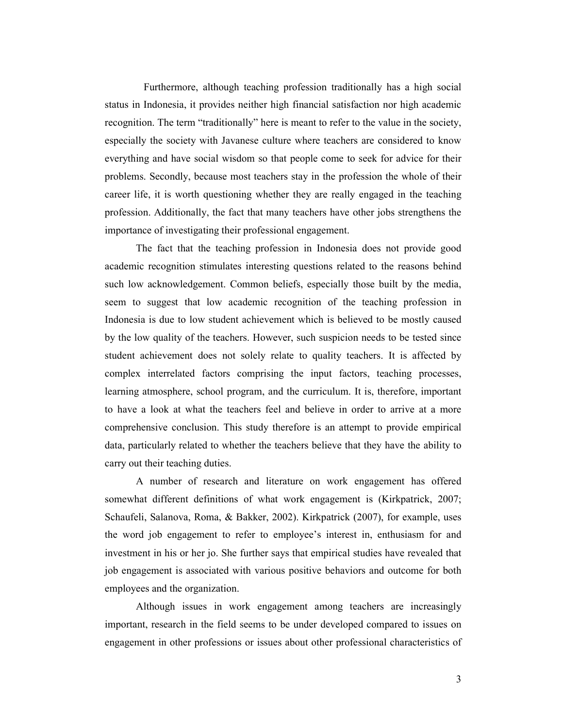Furthermore, although teaching profession traditionally has a high social status in Indonesia, it provides neither high financial satisfaction nor high academic recognition. The term "traditionally" here is meant to refer to the value in the society, especially the society with Javanese culture where teachers are considered to know everything and have social wisdom so that people come to seek for advice for their problems. Secondly, because most teachers stay in the profession the whole of their career life, it is worth questioning whether they are really engaged in the teaching profession. Additionally, the fact that many teachers have other jobs strengthens the importance of investigating their professional engagement.

The fact that the teaching profession in Indonesia does not provide good academic recognition stimulates interesting questions related to the reasons behind such low acknowledgement. Common beliefs, especially those built by the media, seem to suggest that low academic recognition of the teaching profession in Indonesia is due to low student achievement which is believed to be mostly caused by the low quality of the teachers. However, such suspicion needs to be tested since student achievement does not solely relate to quality teachers. It is affected by complex interrelated factors comprising the input factors, teaching processes, learning atmosphere, school program, and the curriculum. It is, therefore, important to have a look at what the teachers feel and believe in order to arrive at a more comprehensive conclusion. This study therefore is an attempt to provide empirical data, particularly related to whether the teachers believe that they have the ability to carry out their teaching duties.

A number of research and literature on work engagement has offered somewhat different definitions of what work engagement is (Kirkpatrick, 2007; Schaufeli, Salanova, Roma, & Bakker, 2002). Kirkpatrick (2007), for example, uses the word job engagement to refer to employee's interest in, enthusiasm for and investment in his or her jo. She further says that empirical studies have revealed that job engagement is associated with various positive behaviors and outcome for both employees and the organization.

Although issues in work engagement among teachers are increasingly important, research in the field seems to be under developed compared to issues on engagement in other professions or issues about other professional characteristics of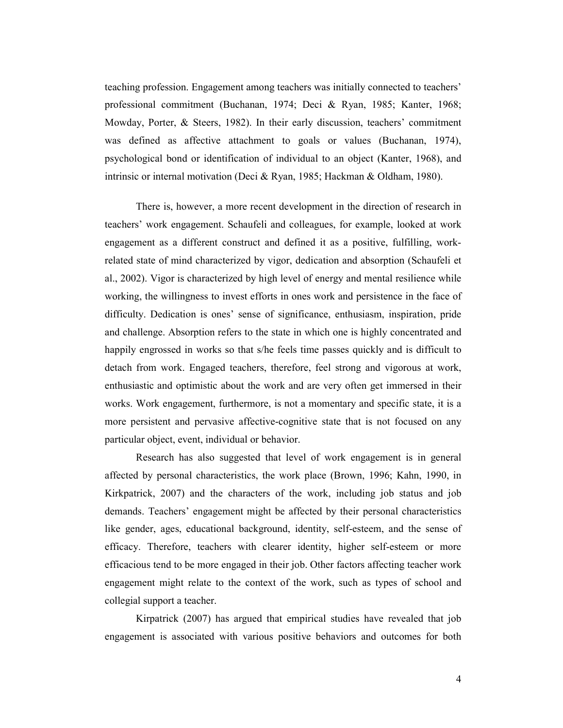teaching profession. Engagement among teachers was initially connected to teachers' professional commitment (Buchanan, 1974; Deci & Ryan, 1985; Kanter, 1968; Mowday, Porter, & Steers, 1982). In their early discussion, teachers' commitment was defined as affective attachment to goals or values (Buchanan, 1974), psychological bond or identification of individual to an object (Kanter, 1968), and intrinsic or internal motivation (Deci & Ryan, 1985; Hackman & Oldham, 1980).

There is, however, a more recent development in the direction of research in teachers' work engagement. Schaufeli and colleagues, for example, looked at work engagement as a different construct and defined it as a positive, fulfilling, workrelated state of mind characterized by vigor, dedication and absorption (Schaufeli et al., 2002). Vigor is characterized by high level of energy and mental resilience while working, the willingness to invest efforts in ones work and persistence in the face of difficulty. Dedication is ones' sense of significance, enthusiasm, inspiration, pride and challenge. Absorption refers to the state in which one is highly concentrated and happily engrossed in works so that s/he feels time passes quickly and is difficult to detach from work. Engaged teachers, therefore, feel strong and vigorous at work, enthusiastic and optimistic about the work and are very often get immersed in their works. Work engagement, furthermore, is not a momentary and specific state, it is a more persistent and pervasive affective-cognitive state that is not focused on any particular object, event, individual or behavior.

Research has also suggested that level of work engagement is in general affected by personal characteristics, the work place (Brown, 1996; Kahn, 1990, in Kirkpatrick, 2007) and the characters of the work, including job status and job demands. Teachers' engagement might be affected by their personal characteristics like gender, ages, educational background, identity, self-esteem, and the sense of efficacy. Therefore, teachers with clearer identity, higher self-esteem or more efficacious tend to be more engaged in their job. Other factors affecting teacher work engagement might relate to the context of the work, such as types of school and collegial support a teacher.

Kirpatrick (2007) has argued that empirical studies have revealed that job engagement is associated with various positive behaviors and outcomes for both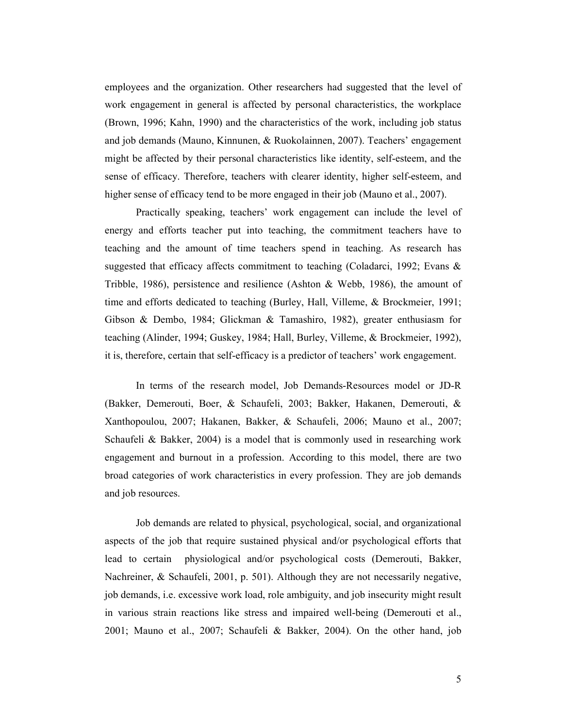employees and the organization. Other researchers had suggested that the level of work engagement in general is affected by personal characteristics, the workplace (Brown, 1996; Kahn, 1990) and the characteristics of the work, including job status and job demands (Mauno, Kinnunen, & Ruokolainnen, 2007). Teachers' engagement might be affected by their personal characteristics like identity, self-esteem, and the sense of efficacy. Therefore, teachers with clearer identity, higher self-esteem, and higher sense of efficacy tend to be more engaged in their job (Mauno et al., 2007).

Practically speaking, teachers' work engagement can include the level of energy and efforts teacher put into teaching, the commitment teachers have to teaching and the amount of time teachers spend in teaching. As research has suggested that efficacy affects commitment to teaching (Coladarci, 1992; Evans & Tribble, 1986), persistence and resilience (Ashton & Webb, 1986), the amount of time and efforts dedicated to teaching (Burley, Hall, Villeme, & Brockmeier, 1991; Gibson & Dembo, 1984; Glickman & Tamashiro, 1982), greater enthusiasm for teaching (Alinder, 1994; Guskey, 1984; Hall, Burley, Villeme, & Brockmeier, 1992), it is, therefore, certain that self-efficacy is a predictor of teachers' work engagement.

In terms of the research model, Job Demands-Resources model or JD-R (Bakker, Demerouti, Boer, & Schaufeli, 2003; Bakker, Hakanen, Demerouti, & Xanthopoulou, 2007; Hakanen, Bakker, & Schaufeli, 2006; Mauno et al., 2007; Schaufeli & Bakker, 2004) is a model that is commonly used in researching work engagement and burnout in a profession. According to this model, there are two broad categories of work characteristics in every profession. They are job demands and job resources.

Job demands are related to physical, psychological, social, and organizational aspects of the job that require sustained physical and/or psychological efforts that lead to certain physiological and/or psychological costs (Demerouti, Bakker, Nachreiner, & Schaufeli, 2001, p. 501). Although they are not necessarily negative, job demands, i.e. excessive work load, role ambiguity, and job insecurity might result in various strain reactions like stress and impaired well-being (Demerouti et al., 2001; Mauno et al., 2007; Schaufeli & Bakker, 2004). On the other hand, job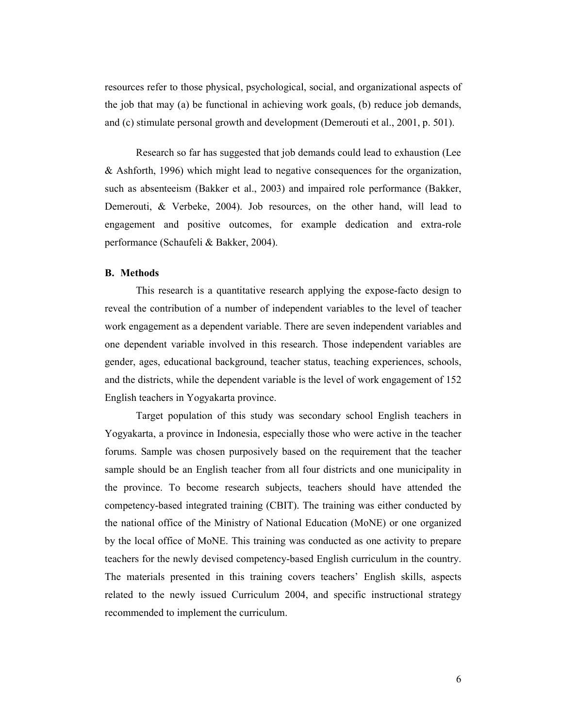resources refer to those physical, psychological, social, and organizational aspects of the job that may (a) be functional in achieving work goals, (b) reduce job demands, and (c) stimulate personal growth and development (Demerouti et al., 2001, p. 501).

Research so far has suggested that job demands could lead to exhaustion (Lee & Ashforth, 1996) which might lead to negative consequences for the organization, such as absenteeism (Bakker et al., 2003) and impaired role performance (Bakker, Demerouti, & Verbeke, 2004). Job resources, on the other hand, will lead to engagement and positive outcomes, for example dedication and extra-role performance (Schaufeli & Bakker, 2004).

## B. Methods

This research is a quantitative research applying the expose-facto design to reveal the contribution of a number of independent variables to the level of teacher work engagement as a dependent variable. There are seven independent variables and one dependent variable involved in this research. Those independent variables are gender, ages, educational background, teacher status, teaching experiences, schools, and the districts, while the dependent variable is the level of work engagement of 152 English teachers in Yogyakarta province.

Target population of this study was secondary school English teachers in Yogyakarta, a province in Indonesia, especially those who were active in the teacher forums. Sample was chosen purposively based on the requirement that the teacher sample should be an English teacher from all four districts and one municipality in the province. To become research subjects, teachers should have attended the competency-based integrated training (CBIT). The training was either conducted by the national office of the Ministry of National Education (MoNE) or one organized by the local office of MoNE. This training was conducted as one activity to prepare teachers for the newly devised competency-based English curriculum in the country. The materials presented in this training covers teachers' English skills, aspects related to the newly issued Curriculum 2004, and specific instructional strategy recommended to implement the curriculum.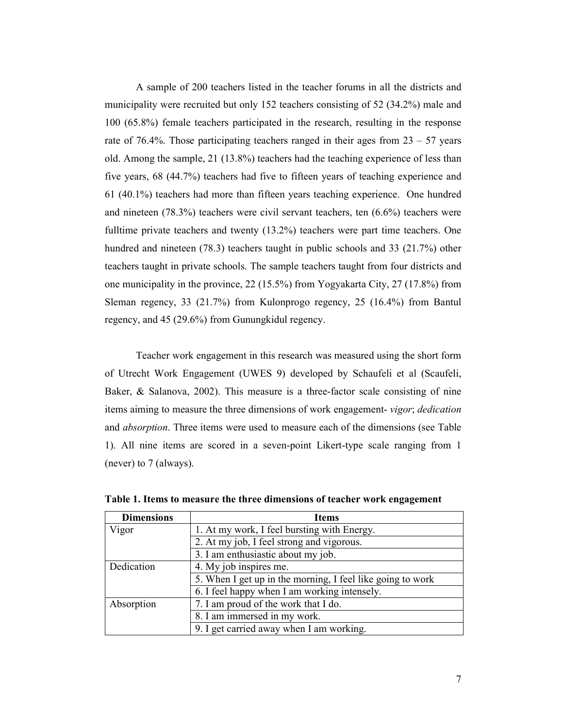A sample of 200 teachers listed in the teacher forums in all the districts and municipality were recruited but only 152 teachers consisting of 52 (34.2%) male and 100 (65.8%) female teachers participated in the research, resulting in the response rate of 76.4%. Those participating teachers ranged in their ages from  $23 - 57$  years old. Among the sample, 21 (13.8%) teachers had the teaching experience of less than five years, 68 (44.7%) teachers had five to fifteen years of teaching experience and 61 (40.1%) teachers had more than fifteen years teaching experience. One hundred and nineteen (78.3%) teachers were civil servant teachers, ten (6.6%) teachers were fulltime private teachers and twenty (13.2%) teachers were part time teachers. One hundred and nineteen (78.3) teachers taught in public schools and 33 (21.7%) other teachers taught in private schools. The sample teachers taught from four districts and one municipality in the province, 22 (15.5%) from Yogyakarta City, 27 (17.8%) from Sleman regency, 33 (21.7%) from Kulonprogo regency, 25 (16.4%) from Bantul regency, and 45 (29.6%) from Gunungkidul regency.

Teacher work engagement in this research was measured using the short form of Utrecht Work Engagement (UWES 9) developed by Schaufeli et al (Scaufeli, Baker, & Salanova, 2002). This measure is a three-factor scale consisting of nine items aiming to measure the three dimensions of work engagement- vigor; dedication and *absorption*. Three items were used to measure each of the dimensions (see Table 1). All nine items are scored in a seven-point Likert-type scale ranging from 1 (never) to 7 (always).

| <b>Dimensions</b> | <b>Items</b>                                               |  |  |
|-------------------|------------------------------------------------------------|--|--|
| Vigor             | 1. At my work, I feel bursting with Energy.                |  |  |
|                   | 2. At my job, I feel strong and vigorous.                  |  |  |
|                   | 3. I am enthusiastic about my job.                         |  |  |
| Dedication        | 4. My job inspires me.                                     |  |  |
|                   | 5. When I get up in the morning, I feel like going to work |  |  |
|                   | 6. I feel happy when I am working intensely.               |  |  |
| Absorption        | 7. I am proud of the work that I do.                       |  |  |
|                   | 8. I am immersed in my work.                               |  |  |
|                   | 9. I get carried away when I am working.                   |  |  |

Table 1. Items to measure the three dimensions of teacher work engagement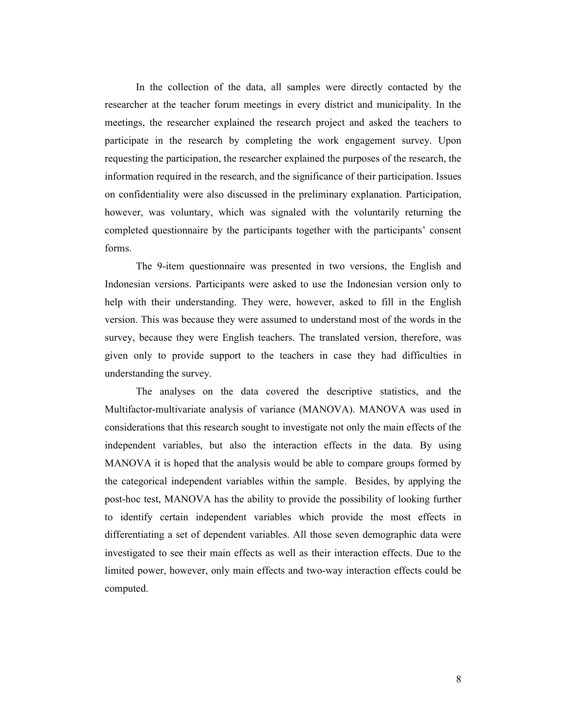In the collection of the data, all samples were directly contacted by the researcher at the teacher forum meetings in every district and municipality. In the meetings, the researcher explained the research project and asked the teachers to participate in the research by completing the work engagement survey. Upon requesting the participation, the researcher explained the purposes of the research, the information required in the research, and the significance of their participation. Issues on confidentiality were also discussed in the preliminary explanation. Participation, however, was voluntary, which was signaled with the voluntarily returning the completed questionnaire by the participants together with the participants' consent forms.

The 9-item questionnaire was presented in two versions, the English and Indonesian versions. Participants were asked to use the Indonesian version only to help with their understanding. They were, however, asked to fill in the English version. This was because they were assumed to understand most of the words in the survey, because they were English teachers. The translated version, therefore, was given only to provide support to the teachers in case they had difficulties in understanding the survey.

The analyses on the data covered the descriptive statistics, and the Multifactor-multivariate analysis of variance (MANOVA). MANOVA was used in considerations that this research sought to investigate not only the main effects of the independent variables, but also the interaction effects in the data. By using MANOVA it is hoped that the analysis would be able to compare groups formed by the categorical independent variables within the sample. Besides, by applying the post-hoc test, MANOVA has the ability to provide the possibility of looking further to identify certain independent variables which provide the most effects in differentiating a set of dependent variables. All those seven demographic data were investigated to see their main effects as well as their interaction effects. Due to the limited power, however, only main effects and two-way interaction effects could be computed.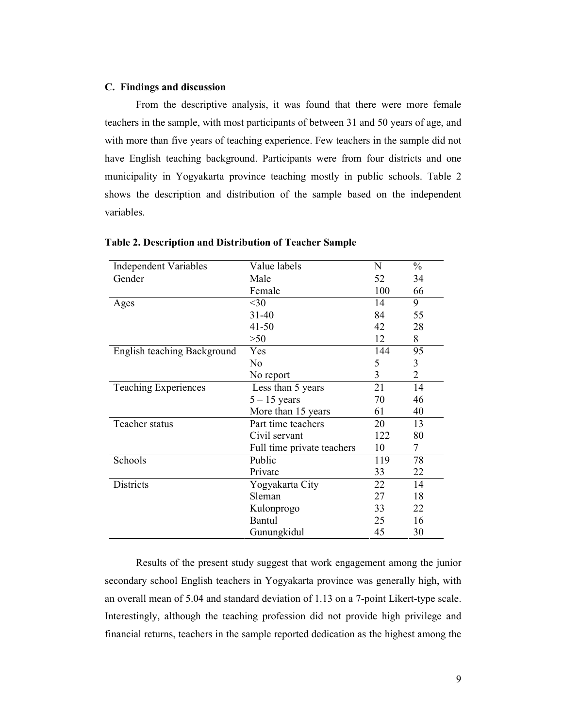## C. Findings and discussion

From the descriptive analysis, it was found that there were more female teachers in the sample, with most participants of between 31 and 50 years of age, and with more than five years of teaching experience. Few teachers in the sample did not have English teaching background. Participants were from four districts and one municipality in Yogyakarta province teaching mostly in public schools. Table 2 shows the description and distribution of the sample based on the independent variables.

| <b>Independent Variables</b> | Value labels               | N   | $\frac{0}{0}$  |
|------------------------------|----------------------------|-----|----------------|
| Gender                       | Male                       | 52  | 34             |
|                              | Female                     | 100 | 66             |
| Ages                         | $<$ 30                     | 14  | 9              |
|                              | $31 - 40$                  | 84  | 55             |
|                              | $41 - 50$                  | 42  | 28             |
|                              | $>50$                      | 12  | 8              |
| English teaching Background  | Yes                        | 144 | 95             |
|                              | N <sub>o</sub>             | 5   | 3              |
|                              | No report                  | 3   | $\overline{2}$ |
| <b>Teaching Experiences</b>  | Less than 5 years          | 21  | 14             |
|                              | $5 - 15$ years             | 70  | 46             |
|                              | More than 15 years         | 61  | 40             |
| Teacher status               | Part time teachers         | 20  | 13             |
|                              | Civil servant              | 122 | 80             |
|                              | Full time private teachers | 10  | 7              |
| Schools                      | Public                     | 119 | 78             |
|                              | Private                    | 33  | 22             |
| Districts                    | Yogyakarta City            | 22  | 14             |
|                              | Sleman                     | 27  | 18             |
|                              | Kulonprogo                 | 33  | 22             |
|                              | Bantul                     | 25  | 16             |
|                              | Gunungkidul                | 45  | 30             |

#### Table 2. Description and Distribution of Teacher Sample

Results of the present study suggest that work engagement among the junior secondary school English teachers in Yogyakarta province was generally high, with an overall mean of 5.04 and standard deviation of 1.13 on a 7-point Likert-type scale. Interestingly, although the teaching profession did not provide high privilege and financial returns, teachers in the sample reported dedication as the highest among the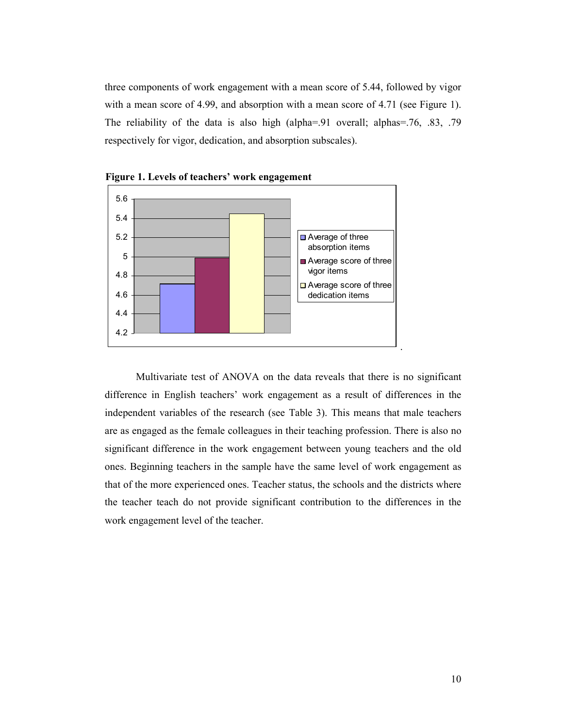three components of work engagement with a mean score of 5.44, followed by vigor with a mean score of 4.99, and absorption with a mean score of 4.71 (see Figure 1). The reliability of the data is also high (alpha=.91 overall; alphas=.76, .83, .79 respectively for vigor, dedication, and absorption subscales).





Multivariate test of ANOVA on the data reveals that there is no significant difference in English teachers' work engagement as a result of differences in the independent variables of the research (see Table 3). This means that male teachers are as engaged as the female colleagues in their teaching profession. There is also no significant difference in the work engagement between young teachers and the old ones. Beginning teachers in the sample have the same level of work engagement as that of the more experienced ones. Teacher status, the schools and the districts where the teacher teach do not provide significant contribution to the differences in the work engagement level of the teacher.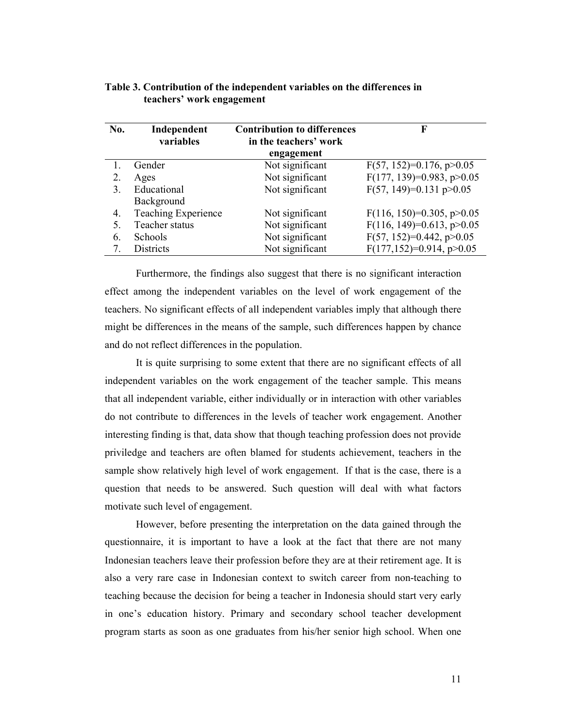| No. | Independent<br>variables   | <b>Contribution to differences</b><br>in the teachers' work | F                               |
|-----|----------------------------|-------------------------------------------------------------|---------------------------------|
|     |                            | engagement                                                  |                                 |
|     | Gender                     | Not significant                                             | $F(57, 152)=0.176$ , p $>0.05$  |
| 2.  | Ages                       | Not significant                                             | $F(177, 139)=0.983, p>0.05$     |
| 3.  | Educational                | Not significant                                             | $F(57, 149)=0.131 p>0.05$       |
|     | Background                 |                                                             |                                 |
| 4.  | <b>Teaching Experience</b> | Not significant                                             | $F(116, 150)=0.305, p>0.05$     |
|     | Teacher status             | Not significant                                             | $F(116, 149)=0.613, p>0.05$     |
| 6.  | Schools                    | Not significant                                             | $F(57, 152)=0.442$ , p $>0.05$  |
| 7.  | <b>Districts</b>           | Not significant                                             | $F(177, 152)=0.914$ , p $>0.05$ |

# Table 3. Contribution of the independent variables on the differences in teachers' work engagement

Furthermore, the findings also suggest that there is no significant interaction effect among the independent variables on the level of work engagement of the teachers. No significant effects of all independent variables imply that although there might be differences in the means of the sample, such differences happen by chance and do not reflect differences in the population.

It is quite surprising to some extent that there are no significant effects of all independent variables on the work engagement of the teacher sample. This means that all independent variable, either individually or in interaction with other variables do not contribute to differences in the levels of teacher work engagement. Another interesting finding is that, data show that though teaching profession does not provide priviledge and teachers are often blamed for students achievement, teachers in the sample show relatively high level of work engagement. If that is the case, there is a question that needs to be answered. Such question will deal with what factors motivate such level of engagement.

However, before presenting the interpretation on the data gained through the questionnaire, it is important to have a look at the fact that there are not many Indonesian teachers leave their profession before they are at their retirement age. It is also a very rare case in Indonesian context to switch career from non-teaching to teaching because the decision for being a teacher in Indonesia should start very early in one's education history. Primary and secondary school teacher development program starts as soon as one graduates from his/her senior high school. When one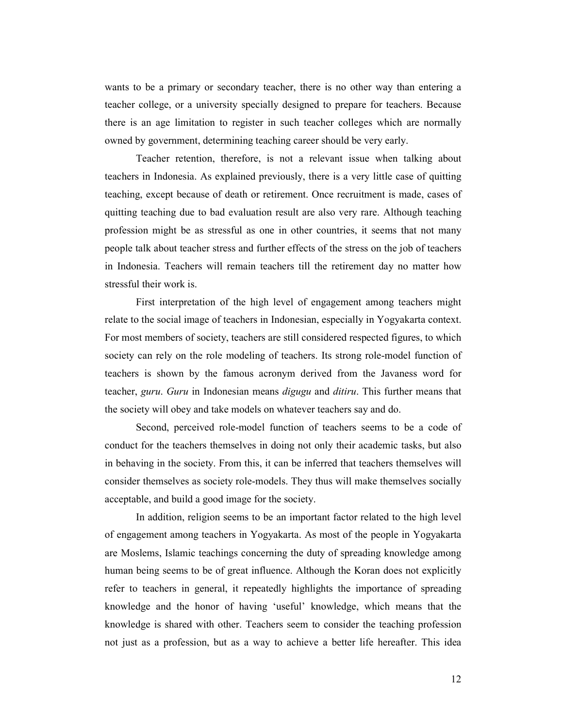wants to be a primary or secondary teacher, there is no other way than entering a teacher college, or a university specially designed to prepare for teachers. Because there is an age limitation to register in such teacher colleges which are normally owned by government, determining teaching career should be very early.

Teacher retention, therefore, is not a relevant issue when talking about teachers in Indonesia. As explained previously, there is a very little case of quitting teaching, except because of death or retirement. Once recruitment is made, cases of quitting teaching due to bad evaluation result are also very rare. Although teaching profession might be as stressful as one in other countries, it seems that not many people talk about teacher stress and further effects of the stress on the job of teachers in Indonesia. Teachers will remain teachers till the retirement day no matter how stressful their work is.

First interpretation of the high level of engagement among teachers might relate to the social image of teachers in Indonesian, especially in Yogyakarta context. For most members of society, teachers are still considered respected figures, to which society can rely on the role modeling of teachers. Its strong role-model function of teachers is shown by the famous acronym derived from the Javaness word for teacher, guru. Guru in Indonesian means *digugu* and *ditiru*. This further means that the society will obey and take models on whatever teachers say and do.

Second, perceived role-model function of teachers seems to be a code of conduct for the teachers themselves in doing not only their academic tasks, but also in behaving in the society. From this, it can be inferred that teachers themselves will consider themselves as society role-models. They thus will make themselves socially acceptable, and build a good image for the society.

In addition, religion seems to be an important factor related to the high level of engagement among teachers in Yogyakarta. As most of the people in Yogyakarta are Moslems, Islamic teachings concerning the duty of spreading knowledge among human being seems to be of great influence. Although the Koran does not explicitly refer to teachers in general, it repeatedly highlights the importance of spreading knowledge and the honor of having 'useful' knowledge, which means that the knowledge is shared with other. Teachers seem to consider the teaching profession not just as a profession, but as a way to achieve a better life hereafter. This idea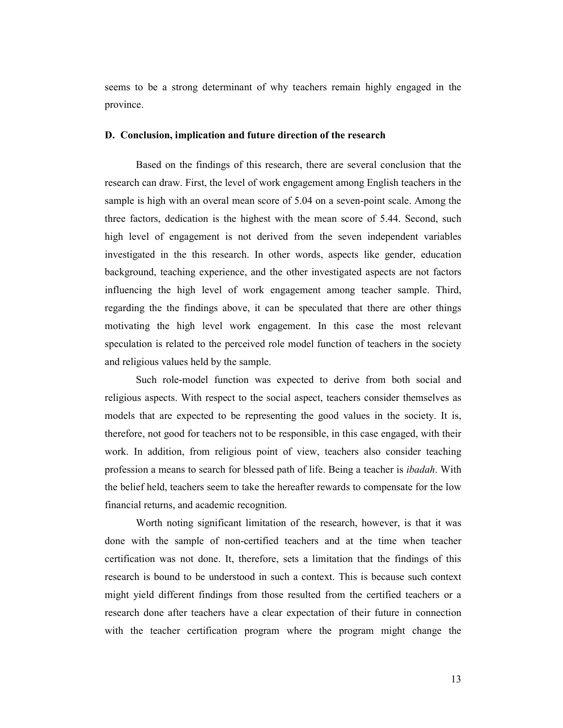seems to be a strong determinant of why teachers remain highly engaged in the province.

#### D. Conclusion, implication and future direction of the research

Based on the findings of this research, there are several conclusion that the research can draw. First, the level of work engagement among English teachers in the sample is high with an overal mean score of 5.04 on a seven-point scale. Among the three factors, dedication is the highest with the mean score of 5.44. Second, such high level of engagement is not derived from the seven independent variables investigated in the this research. In other words, aspects like gender, education background, teaching experience, and the other investigated aspects are not factors influencing the high level of work engagement among teacher sample. Third, regarding the the findings above, it can be speculated that there are other things motivating the high level work engagement. In this case the most relevant speculation is related to the perceived role model function of teachers in the society and religious values held by the sample.

Such role-model function was expected to derive from both social and religious aspects. With respect to the social aspect, teachers consider themselves as models that are expected to be representing the good values in the society. It is, therefore, not good for teachers not to be responsible, in this case engaged, with their work. In addition, from religious point of view, teachers also consider teaching profession a means to search for blessed path of life. Being a teacher is *ibadah*. With the belief held, teachers seem to take the hereafter rewards to compensate for the low financial returns, and academic recognition.

Worth noting significant limitation of the research, however, is that it was done with the sample of non-certified teachers and at the time when teacher certification was not done. It, therefore, sets a limitation that the findings of this research is bound to be understood in such a context. This is because such context might yield different findings from those resulted from the certified teachers or a research done after teachers have a clear expectation of their future in connection with the teacher certification program where the program might change the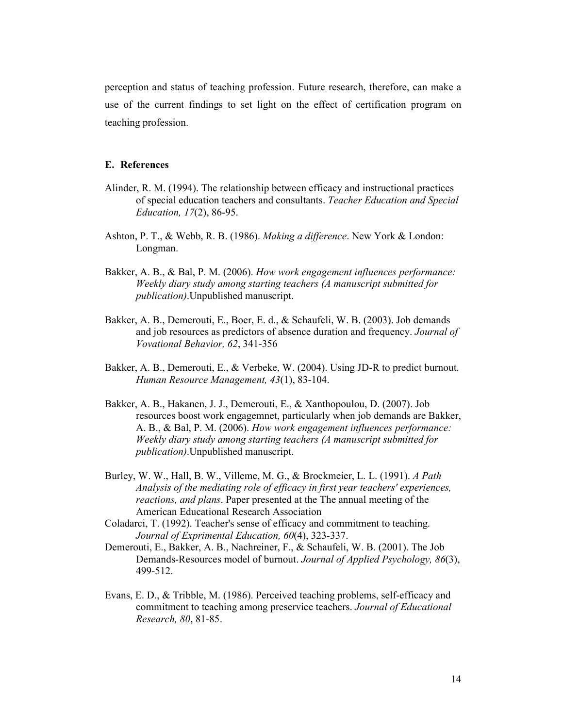perception and status of teaching profession. Future research, therefore, can make a use of the current findings to set light on the effect of certification program on teaching profession.

# E. References

- Alinder, R. M. (1994). The relationship between efficacy and instructional practices of special education teachers and consultants. Teacher Education and Special Education, 17(2), 86-95.
- Ashton, P. T., & Webb, R. B. (1986). Making a difference. New York & London: Longman.
- Bakker, A. B., & Bal, P. M. (2006). How work engagement influences performance: Weekly diary study among starting teachers (A manuscript submitted for publication).Unpublished manuscript.
- Bakker, A. B., Demerouti, E., Boer, E. d., & Schaufeli, W. B. (2003). Job demands and job resources as predictors of absence duration and frequency. Journal of Vovational Behavior, 62, 341-356
- Bakker, A. B., Demerouti, E., & Verbeke, W. (2004). Using JD-R to predict burnout. Human Resource Management, 43(1), 83-104.
- Bakker, A. B., Hakanen, J. J., Demerouti, E., & Xanthopoulou, D. (2007). Job resources boost work engagemnet, particularly when job demands are Bakker, A. B., & Bal, P. M. (2006). How work engagement influences performance: Weekly diary study among starting teachers (A manuscript submitted for publication).Unpublished manuscript.
- Burley, W. W., Hall, B. W., Villeme, M. G., & Brockmeier, L. L. (1991). A Path Analysis of the mediating role of efficacy in first year teachers' experiences, reactions, and plans. Paper presented at the The annual meeting of the American Educational Research Association
- Coladarci, T. (1992). Teacher's sense of efficacy and commitment to teaching. Journal of Exprimental Education, 60(4), 323-337.
- Demerouti, E., Bakker, A. B., Nachreiner, F., & Schaufeli, W. B. (2001). The Job Demands-Resources model of burnout. Journal of Applied Psychology, 86(3), 499-512.
- Evans, E. D., & Tribble, M. (1986). Perceived teaching problems, self-efficacy and commitment to teaching among preservice teachers. Journal of Educational Research, 80, 81-85.